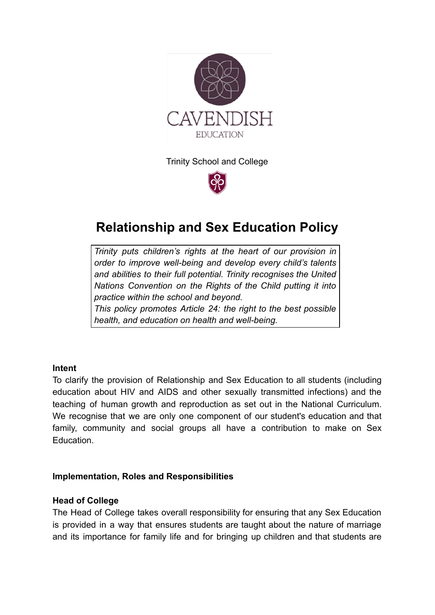

Trinity School and College



# **Relationship and Sex Education Policy**

*Trinity puts [children's](http://www.unicef.org.uk/rights-respecting-schools/about-the-award/child-rights-in-schools/) rights at the heart of our provision in order to improve well-being and develop every child's talents and abilities to their full potential. Trinity recognises the [United](http://www.unicef.org.uk/UNICEFs-Work/UN-Convention/) Nations [Convention](http://www.unicef.org.uk/UNICEFs-Work/UN-Convention/) on the Rights of the Child putting it into practice within the school and beyond. This policy promotes Article 24: the right to the best possible health, and education on health and well-being.*

## **Intent**

To clarify the provision of Relationship and Sex Education to all students (including education about HIV and AIDS and other sexually transmitted infections) and the teaching of human growth and reproduction as set out in the National Curriculum. We recognise that we are only one component of our student's education and that family, community and social groups all have a contribution to make on Sex Education.

#### **Implementation, Roles and Responsibilities**

#### **Head of College**

The Head of College takes overall responsibility for ensuring that any Sex Education is provided in a way that ensures students are taught about the nature of marriage and its importance for family life and for bringing up children and that students are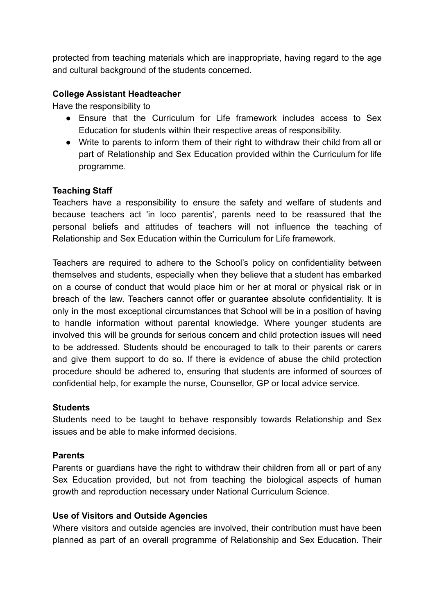protected from teaching materials which are inappropriate, having regard to the age and cultural background of the students concerned.

## **College Assistant Headteacher**

Have the responsibility to

- Ensure that the Curriculum for Life framework includes access to Sex Education for students within their respective areas of responsibility.
- Write to parents to inform them of their right to withdraw their child from all or part of Relationship and Sex Education provided within the Curriculum for life programme.

# **Teaching Staff**

Teachers have a responsibility to ensure the safety and welfare of students and because teachers act 'in loco parentis', parents need to be reassured that the personal beliefs and attitudes of teachers will not influence the teaching of Relationship and Sex Education within the Curriculum for Life framework.

Teachers are required to adhere to the School's policy on confidentiality between themselves and students, especially when they believe that a student has embarked on a course of conduct that would place him or her at moral or physical risk or in breach of the law. Teachers cannot offer or guarantee absolute confidentiality. It is only in the most exceptional circumstances that School will be in a position of having to handle information without parental knowledge. Where younger students are involved this will be grounds for serious concern and child protection issues will need to be addressed. Students should be encouraged to talk to their parents or carers and give them support to do so. If there is evidence of abuse the child protection procedure should be adhered to, ensuring that students are informed of sources of confidential help, for example the nurse, Counsellor, GP or local advice service.

## **Students**

Students need to be taught to behave responsibly towards Relationship and Sex issues and be able to make informed decisions.

## **Parents**

Parents or guardians have the right to withdraw their children from all or part of any Sex Education provided, but not from teaching the biological aspects of human growth and reproduction necessary under National Curriculum Science.

## **Use of Visitors and Outside Agencies**

Where visitors and outside agencies are involved, their contribution must have been planned as part of an overall programme of Relationship and Sex Education. Their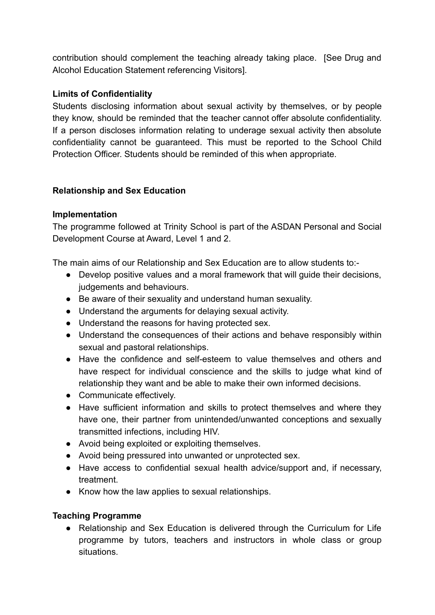contribution should complement the teaching already taking place. [See Drug and Alcohol Education Statement referencing Visitors].

## **Limits of Confidentiality**

Students disclosing information about sexual activity by themselves, or by people they know, should be reminded that the teacher cannot offer absolute confidentiality. If a person discloses information relating to underage sexual activity then absolute confidentiality cannot be guaranteed. This must be reported to the School Child Protection Officer. Students should be reminded of this when appropriate.

## **Relationship and Sex Education**

## **Implementation**

The programme followed at Trinity School is part of the ASDAN Personal and Social Development Course at Award, Level 1 and 2.

The main aims of our Relationship and Sex Education are to allow students to:-

- Develop positive values and a moral framework that will guide their decisions, judgements and behaviours.
- Be aware of their sexuality and understand human sexuality.
- Understand the arguments for delaying sexual activity.
- Understand the reasons for having protected sex.
- Understand the consequences of their actions and behave responsibly within sexual and pastoral relationships.
- Have the confidence and self-esteem to value themselves and others and have respect for individual conscience and the skills to judge what kind of relationship they want and be able to make their own informed decisions.
- Communicate effectively.
- Have sufficient information and skills to protect themselves and where they have one, their partner from unintended/unwanted conceptions and sexually transmitted infections, including HIV.
- Avoid being exploited or exploiting themselves.
- Avoid being pressured into unwanted or unprotected sex.
- Have access to confidential sexual health advice/support and, if necessary, treatment.
- Know how the law applies to sexual relationships.

# **Teaching Programme**

• Relationship and Sex Education is delivered through the Curriculum for Life programme by tutors, teachers and instructors in whole class or group situations.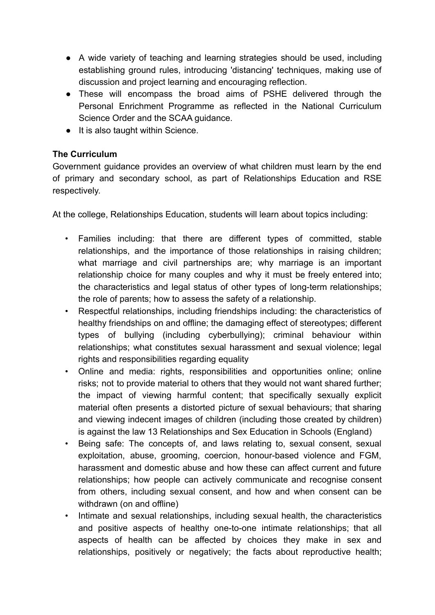- A wide variety of teaching and learning strategies should be used, including establishing ground rules, introducing 'distancing' techniques, making use of discussion and project learning and encouraging reflection.
- These will encompass the broad aims of PSHE delivered through the Personal Enrichment Programme as reflected in the National Curriculum Science Order and the SCAA guidance.
- It is also taught within Science.

# **The Curriculum**

Government guidance provides an overview of what children must learn by the end of primary and secondary school, as part of Relationships Education and RSE respectively.

At the college, Relationships Education, students will learn about topics including:

- Families including: that there are different types of committed, stable relationships, and the importance of those relationships in raising children; what marriage and civil partnerships are; why marriage is an important relationship choice for many couples and why it must be freely entered into; the characteristics and legal status of other types of long-term relationships; the role of parents; how to assess the safety of a relationship.
- Respectful relationships, including friendships including: the characteristics of healthy friendships on and offline; the damaging effect of stereotypes; different types of bullying (including cyberbullying); criminal behaviour within relationships; what constitutes sexual harassment and sexual violence; legal rights and responsibilities regarding equality
- Online and media: rights, responsibilities and opportunities online; online risks; not to provide material to others that they would not want shared further; the impact of viewing harmful content; that specifically sexually explicit material often presents a distorted picture of sexual behaviours; that sharing and viewing indecent images of children (including those created by children) is against the law 13 Relationships and Sex Education in Schools (England)
- Being safe: The concepts of, and laws relating to, sexual consent, sexual exploitation, abuse, grooming, coercion, honour-based violence and FGM, harassment and domestic abuse and how these can affect current and future relationships; how people can actively communicate and recognise consent from others, including sexual consent, and how and when consent can be withdrawn (on and offline)
- Intimate and sexual relationships, including sexual health, the characteristics and positive aspects of healthy one-to-one intimate relationships; that all aspects of health can be affected by choices they make in sex and relationships, positively or negatively; the facts about reproductive health;